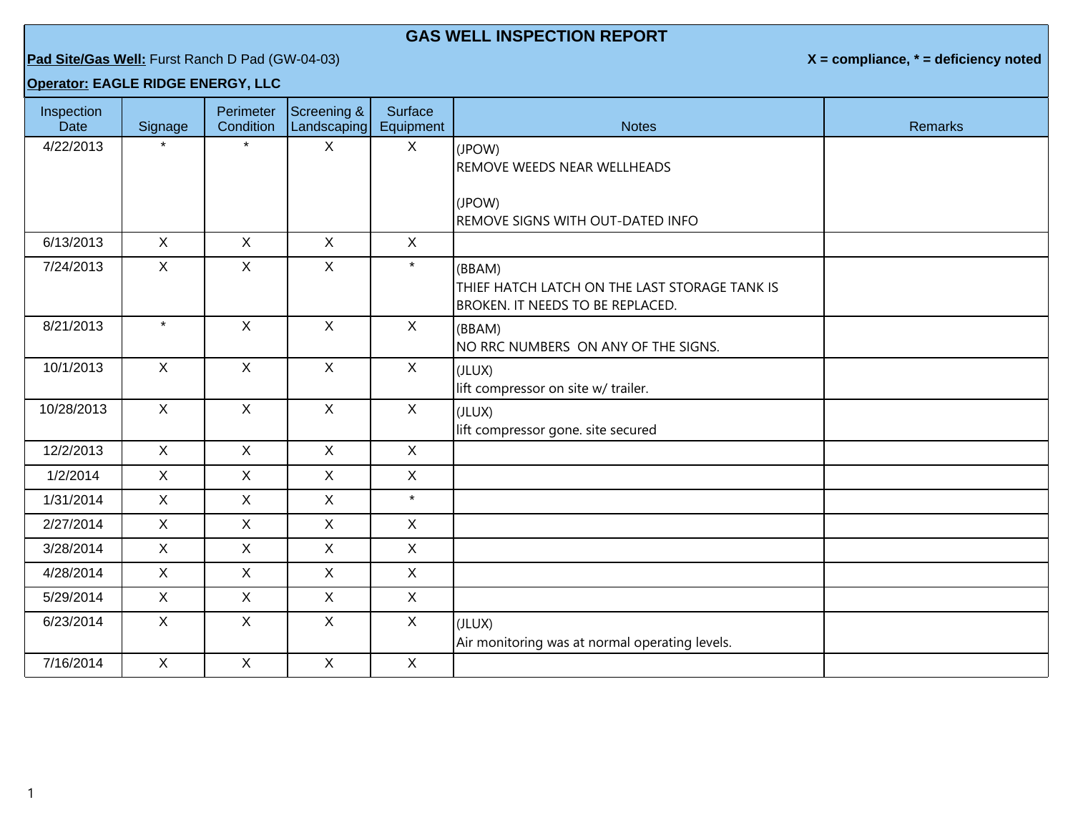## **GAS WELL INSPECTION REPORT**

## **Pad Site/Gas Well:** Furst Ranch D Pad (GW-04-03) **X = compliance, \* = deficiency noted**

## **Operator: EAGLE RIDGE ENERGY, LLC**

| Inspection<br><b>Date</b> | Signage      | Perimeter<br>Condition | Screening &<br>Landscaping | Surface<br>Equipment | <b>Notes</b>                                                                                       | <b>Remarks</b> |
|---------------------------|--------------|------------------------|----------------------------|----------------------|----------------------------------------------------------------------------------------------------|----------------|
| 4/22/2013                 |              | $\star$                | X                          | X                    | (JPOW)<br>REMOVE WEEDS NEAR WELLHEADS                                                              |                |
|                           |              |                        |                            |                      | (JPOW)<br><b>REMOVE SIGNS WITH OUT-DATED INFO</b>                                                  |                |
| 6/13/2013                 | $\sf X$      | X                      | X                          | $\mathsf{X}$         |                                                                                                    |                |
| 7/24/2013                 | $\mathsf{X}$ | $\mathsf{X}$           | $\mathsf{X}$               | $\star$              | (BBAM)<br>THIEF HATCH LATCH ON THE LAST STORAGE TANK IS<br><b>BROKEN. IT NEEDS TO BE REPLACED.</b> |                |
| 8/21/2013                 | $\star$      | $\mathsf{X}$           | $\mathsf{X}$               | $\mathsf{X}$         | (BBAM)<br>NO RRC NUMBERS ON ANY OF THE SIGNS.                                                      |                |
| 10/1/2013                 | $\mathsf{X}$ | $\mathsf{X}$           | $\mathsf{X}$               | $\mathsf{X}$         | (JLUX)<br>lift compressor on site w/ trailer.                                                      |                |
| 10/28/2013                | $\mathsf{X}$ | $\mathsf{X}$           | $\mathsf{X}$               | $\mathsf{X}$         | (JLUX)<br>lift compressor gone. site secured                                                       |                |
| 12/2/2013                 | X            | $\mathsf{X}$           | $\mathsf{X}$               | X                    |                                                                                                    |                |
| 1/2/2014                  | $\mathsf{X}$ | $\mathsf{X}$           | $\mathsf{X}$               | $\mathsf X$          |                                                                                                    |                |
| 1/31/2014                 | $\mathsf{X}$ | X                      | $\mathsf{X}$               | $\star$              |                                                                                                    |                |
| 2/27/2014                 | X            | $\mathsf{X}$           | $\mathsf{X}$               | $\mathsf{X}$         |                                                                                                    |                |
| 3/28/2014                 | $\mathsf X$  | $\mathsf{X}$           | $\mathsf X$                | $\mathsf X$          |                                                                                                    |                |
| 4/28/2014                 | $\mathsf{X}$ | X                      | $\mathsf{X}$               | $\mathsf{X}$         |                                                                                                    |                |
| 5/29/2014                 | $\mathsf{X}$ | $\mathsf{X}$           | $\mathsf{X}$               | $\mathsf{X}$         |                                                                                                    |                |
| 6/23/2014                 | $\mathsf{X}$ | $\mathsf{X}$           | $\mathsf X$                | $\mathsf{X}$         | (JLUX)<br>Air monitoring was at normal operating levels.                                           |                |
| 7/16/2014                 | $\mathsf{X}$ | $\mathsf{X}$           | $\mathsf{X}$               | $\mathsf{X}$         |                                                                                                    |                |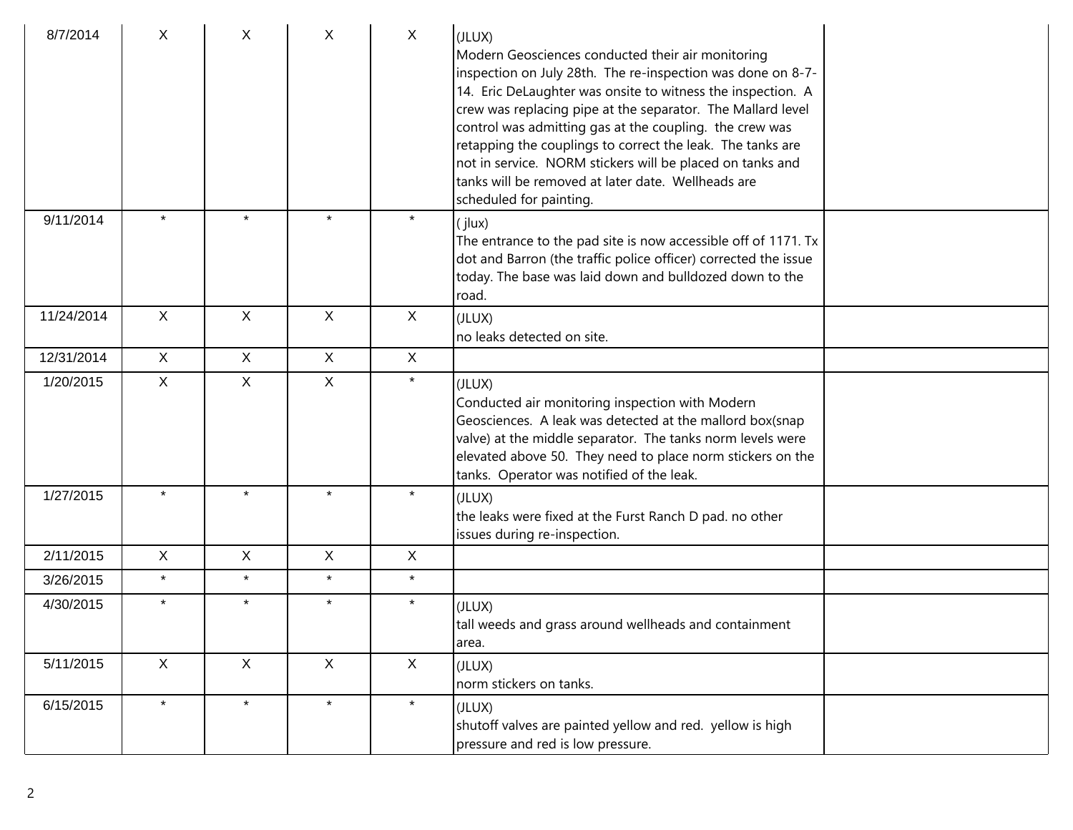| 8/7/2014   | X            | X            | X            | $\mathsf{X}$ | (JLUX)<br>Modern Geosciences conducted their air monitoring<br>inspection on July 28th. The re-inspection was done on 8-7-<br>14. Eric DeLaughter was onsite to witness the inspection. A<br>crew was replacing pipe at the separator. The Mallard level<br>control was admitting gas at the coupling. the crew was<br>retapping the couplings to correct the leak. The tanks are<br>not in service. NORM stickers will be placed on tanks and<br>tanks will be removed at later date. Wellheads are<br>scheduled for painting. |  |
|------------|--------------|--------------|--------------|--------------|---------------------------------------------------------------------------------------------------------------------------------------------------------------------------------------------------------------------------------------------------------------------------------------------------------------------------------------------------------------------------------------------------------------------------------------------------------------------------------------------------------------------------------|--|
| 9/11/2014  |              |              | $\star$      | $\star$      | (jlux)<br>The entrance to the pad site is now accessible off of 1171. Tx<br>dot and Barron (the traffic police officer) corrected the issue<br>today. The base was laid down and bulldozed down to the<br>road.                                                                                                                                                                                                                                                                                                                 |  |
| 11/24/2014 | $\mathsf{X}$ | $\mathsf{X}$ | X            | X            | (JLUX)<br>no leaks detected on site.                                                                                                                                                                                                                                                                                                                                                                                                                                                                                            |  |
| 12/31/2014 | $\mathsf{X}$ | $\mathsf{X}$ | $\mathsf{X}$ | X            |                                                                                                                                                                                                                                                                                                                                                                                                                                                                                                                                 |  |
| 1/20/2015  | $\mathsf{X}$ | $\mathsf{X}$ | X            | $\star$      | (JLUX)<br>Conducted air monitoring inspection with Modern<br>Geosciences. A leak was detected at the mallord box(snap<br>valve) at the middle separator. The tanks norm levels were<br>elevated above 50. They need to place norm stickers on the<br>tanks. Operator was notified of the leak.                                                                                                                                                                                                                                  |  |
| 1/27/2015  |              |              | $\star$      |              | (JLUX)<br>the leaks were fixed at the Furst Ranch D pad. no other<br>issues during re-inspection.                                                                                                                                                                                                                                                                                                                                                                                                                               |  |
| 2/11/2015  | X            | $\sf X$      | $\mathsf{X}$ | $\mathsf{X}$ |                                                                                                                                                                                                                                                                                                                                                                                                                                                                                                                                 |  |
| 3/26/2015  | $\star$      | $\star$      | $\star$      | $\star$      |                                                                                                                                                                                                                                                                                                                                                                                                                                                                                                                                 |  |
| 4/30/2015  | $\star$      | $\star$      | $\star$      | $\star$      | (JLUX)<br>tall weeds and grass around wellheads and containment<br>area.                                                                                                                                                                                                                                                                                                                                                                                                                                                        |  |
| 5/11/2015  | $\mathsf{X}$ | $\mathsf X$  | $\mathsf{X}$ | X            | (JLUX)<br>norm stickers on tanks.                                                                                                                                                                                                                                                                                                                                                                                                                                                                                               |  |
| 6/15/2015  | $\star$      | $\star$      | $\star$      | $\star$      | (JLUX)<br>shutoff valves are painted yellow and red. yellow is high<br>pressure and red is low pressure.                                                                                                                                                                                                                                                                                                                                                                                                                        |  |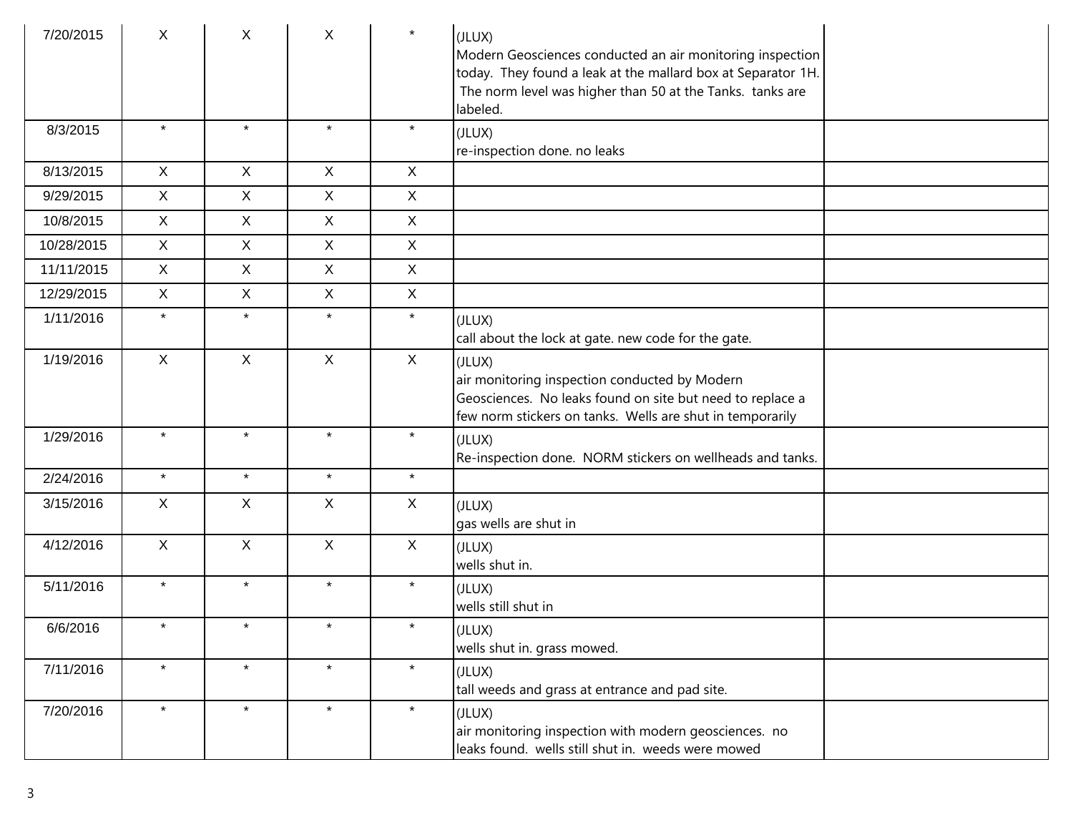| 7/20/2015  | X            | X              | X            | $\star$     | (JLUX)<br>Modern Geosciences conducted an air monitoring inspection<br>today. They found a leak at the mallard box at Separator 1H.<br>The norm level was higher than 50 at the Tanks. tanks are<br>labeled. |
|------------|--------------|----------------|--------------|-------------|--------------------------------------------------------------------------------------------------------------------------------------------------------------------------------------------------------------|
| 8/3/2015   | $\star$      | $\star$        | $\star$      | $\star$     | (JLUX)<br>re-inspection done. no leaks                                                                                                                                                                       |
| 8/13/2015  | $\mathsf{X}$ | $\mathsf{X}$   | X            | X           |                                                                                                                                                                                                              |
| 9/29/2015  | $\mathsf{X}$ | $\mathsf{X}$   | $\mathsf{X}$ | $\mathsf X$ |                                                                                                                                                                                                              |
| 10/8/2015  | $\mathsf{X}$ | $\mathsf X$    | X            | $\mathsf X$ |                                                                                                                                                                                                              |
| 10/28/2015 | $\mathsf{X}$ | $\mathsf X$    | $\mathsf{X}$ | $\mathsf X$ |                                                                                                                                                                                                              |
| 11/11/2015 | $\mathsf{X}$ | X              | X            | $\mathsf X$ |                                                                                                                                                                                                              |
| 12/29/2015 | $\mathsf{X}$ | $\mathsf X$    | $\mathsf{X}$ | $\mathsf X$ |                                                                                                                                                                                                              |
| 1/11/2016  | $\star$      | $\star$        | $\star$      | $\star$     | (JLUX)<br>call about the lock at gate. new code for the gate.                                                                                                                                                |
| 1/19/2016  | $\mathsf{X}$ | X              | $\mathsf{X}$ | X           | (JLUX)<br>air monitoring inspection conducted by Modern<br>Geosciences. No leaks found on site but need to replace a<br>few norm stickers on tanks. Wells are shut in temporarily                            |
| 1/29/2016  | $\star$      | $\star$        | $\star$      | $\star$     | (JLUX)<br>Re-inspection done. NORM stickers on wellheads and tanks.                                                                                                                                          |
| 2/24/2016  | $\star$      | $\star$        | $\star$      | $\star$     |                                                                                                                                                                                                              |
| 3/15/2016  | $\mathsf{X}$ | $\pmb{\times}$ | $\mathsf{X}$ | $\mathsf X$ | (JLUX)<br>gas wells are shut in                                                                                                                                                                              |
| 4/12/2016  | $\mathsf{X}$ | $\mathsf{X}$   | $\mathsf{X}$ | X           | (JLUX)<br>wells shut in.                                                                                                                                                                                     |
| 5/11/2016  | $\star$      | $\star$        | $\star$      | $\star$     | (JLUX)<br>wells still shut in                                                                                                                                                                                |
| 6/6/2016   | $\star$      | $\star$        | $\star$      | $\star$     | (JLUX)<br>wells shut in. grass mowed.                                                                                                                                                                        |
| 7/11/2016  | $\star$      | $\star$        | $\star$      | $\star$     | (JLUX)<br>tall weeds and grass at entrance and pad site.                                                                                                                                                     |
| 7/20/2016  | $\star$      | $\star$        | $\star$      | $\star$     | (JLUX)<br>air monitoring inspection with modern geosciences. no<br>leaks found. wells still shut in. weeds were mowed                                                                                        |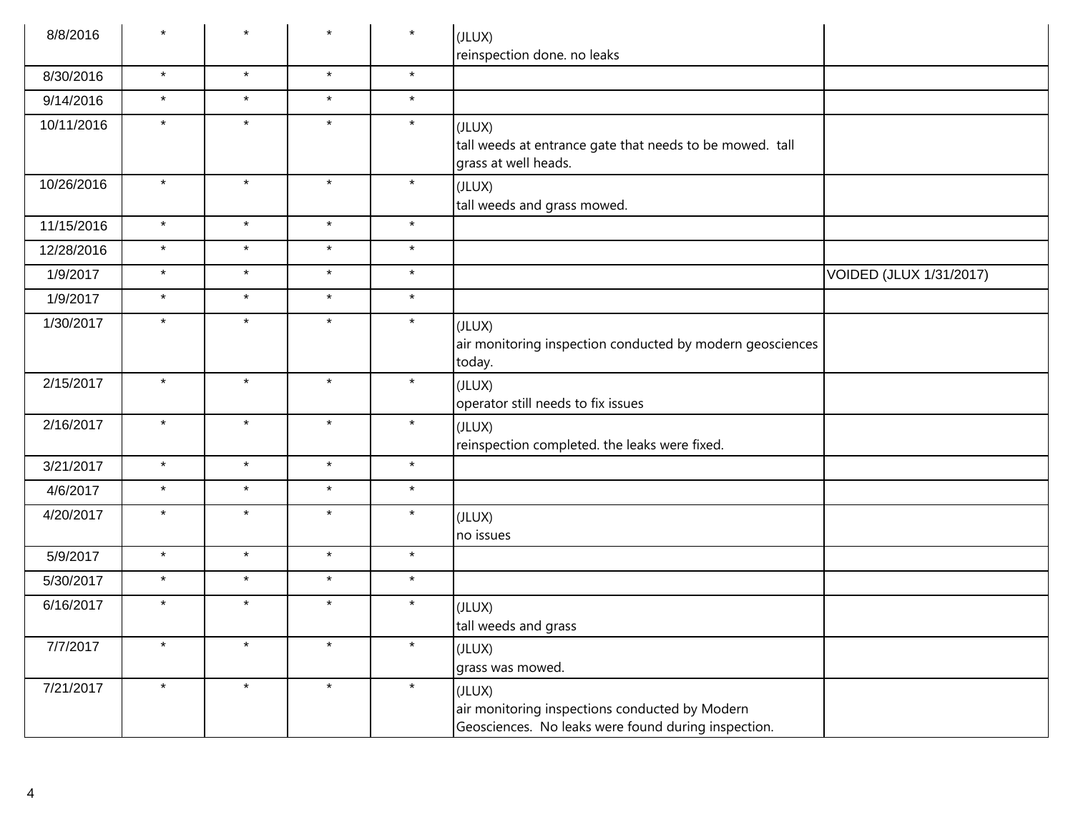| 8/8/2016   | $\star$ | $\star$ | $\star$ | $\star$ | (JLUX)<br>reinspection done. no leaks                                                                           |                         |
|------------|---------|---------|---------|---------|-----------------------------------------------------------------------------------------------------------------|-------------------------|
| 8/30/2016  | $\star$ | $\star$ | $\star$ | $\star$ |                                                                                                                 |                         |
| 9/14/2016  | $\star$ | $\star$ | $\star$ | $\star$ |                                                                                                                 |                         |
| 10/11/2016 | $\star$ | $\star$ | $\star$ | $\star$ | (JLUX)<br>tall weeds at entrance gate that needs to be mowed. tall<br>grass at well heads.                      |                         |
| 10/26/2016 | $\star$ | $\star$ | $\star$ | $\star$ | (JLUX)<br>tall weeds and grass mowed.                                                                           |                         |
| 11/15/2016 | $\star$ | $\star$ | $\star$ | $\star$ |                                                                                                                 |                         |
| 12/28/2016 | $\star$ | $\star$ | $\star$ | $\star$ |                                                                                                                 |                         |
| 1/9/2017   | $\star$ | $\star$ | $\star$ | $\star$ |                                                                                                                 | VOIDED (JLUX 1/31/2017) |
| 1/9/2017   | $\star$ | $\star$ | $\star$ | $\star$ |                                                                                                                 |                         |
| 1/30/2017  | $\star$ | $\star$ | $\star$ | $\star$ | (JLUX)<br>air monitoring inspection conducted by modern geosciences<br>today.                                   |                         |
| 2/15/2017  | $\star$ | $\star$ | $\star$ | $\star$ | (JLUX)<br>operator still needs to fix issues                                                                    |                         |
| 2/16/2017  | $\star$ | $\star$ | $\star$ | $\star$ | (JLUX)<br>reinspection completed. the leaks were fixed.                                                         |                         |
| 3/21/2017  | $\star$ | $\star$ | $\star$ | $\star$ |                                                                                                                 |                         |
| 4/6/2017   | $\star$ | $\star$ | $\star$ | $\star$ |                                                                                                                 |                         |
| 4/20/2017  | $\star$ | $\star$ | $\star$ | $\star$ | (JLUX)<br>no issues                                                                                             |                         |
| 5/9/2017   | $\star$ | $\star$ | $\star$ | $\star$ |                                                                                                                 |                         |
| 5/30/2017  | $\star$ | $\star$ | $\star$ | $\star$ |                                                                                                                 |                         |
| 6/16/2017  | $\star$ | $\star$ | $\star$ | $\star$ | (JLUX)<br>tall weeds and grass                                                                                  |                         |
| 7/7/2017   | $\star$ | $\star$ | $\star$ | $\star$ | (JLUX)<br>grass was mowed.                                                                                      |                         |
| 7/21/2017  | $\star$ | $\star$ | $\star$ | $\star$ | (JLUX)<br>air monitoring inspections conducted by Modern<br>Geosciences. No leaks were found during inspection. |                         |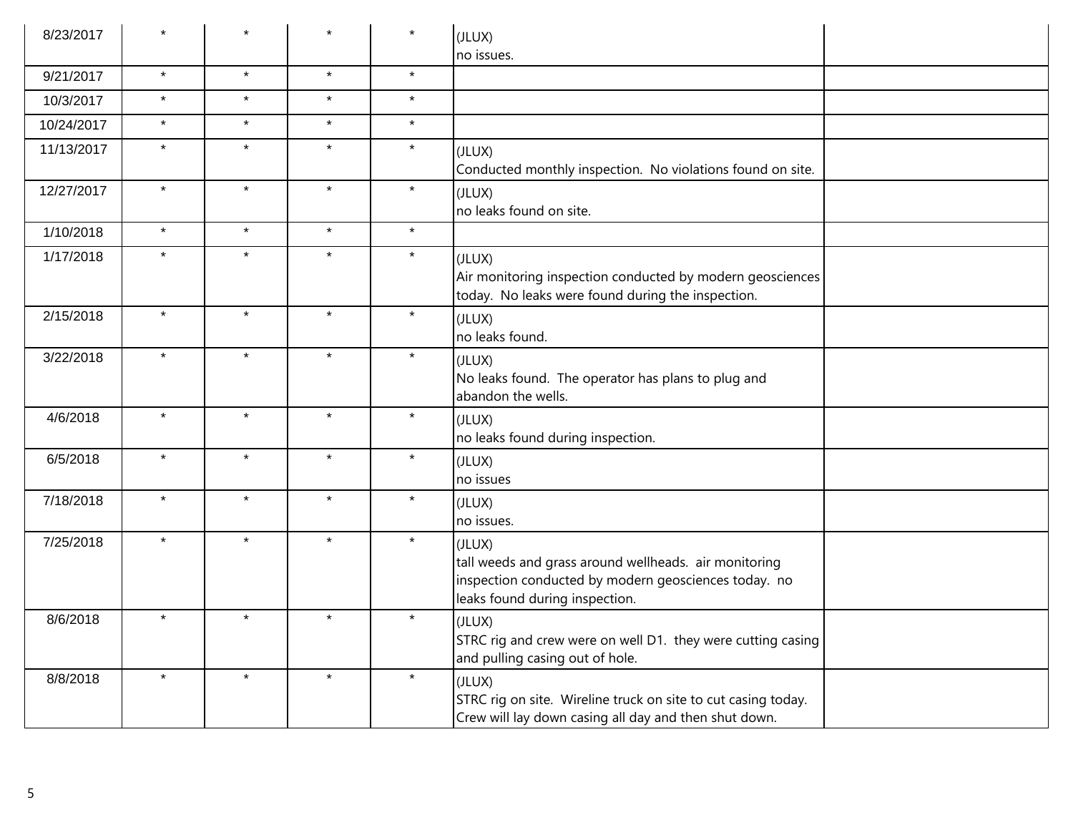| 8/23/2017  |         |         |         | $\star$ | (JLUX)<br>no issues.                                                                                                                                      |
|------------|---------|---------|---------|---------|-----------------------------------------------------------------------------------------------------------------------------------------------------------|
| 9/21/2017  | $\star$ | $\star$ | $\star$ | $\star$ |                                                                                                                                                           |
| 10/3/2017  | $\star$ | $\star$ | $\star$ | $\star$ |                                                                                                                                                           |
| 10/24/2017 | $\star$ | $\star$ | $\star$ | $\star$ |                                                                                                                                                           |
| 11/13/2017 | $\star$ | $\star$ | $\star$ | $\star$ | (JLUX)<br>Conducted monthly inspection. No violations found on site.                                                                                      |
| 12/27/2017 | $\star$ | $\star$ | $\star$ | $\star$ | (JLUX)<br>no leaks found on site.                                                                                                                         |
| 1/10/2018  | $\star$ | $\star$ | $\star$ | $\star$ |                                                                                                                                                           |
| 1/17/2018  | $\star$ | $\star$ | $\star$ | $\star$ | (JLUX)<br>Air monitoring inspection conducted by modern geosciences<br>today. No leaks were found during the inspection.                                  |
| 2/15/2018  | $\star$ | $\star$ | $\star$ | $\star$ | (JLUX)<br>no leaks found.                                                                                                                                 |
| 3/22/2018  | $\star$ | $\star$ | $\star$ | $\star$ | (JLUX)<br>No leaks found. The operator has plans to plug and<br>abandon the wells.                                                                        |
| 4/6/2018   | $\star$ | $\star$ | $\star$ | $\star$ | (JLUX)<br>no leaks found during inspection.                                                                                                               |
| 6/5/2018   | $\star$ | $\star$ | $\star$ | $\star$ | (JLUX)<br>no issues                                                                                                                                       |
| 7/18/2018  | $\star$ | $\star$ | $\star$ | $\star$ | (JLUX)<br>no issues.                                                                                                                                      |
| 7/25/2018  | $\star$ | $\star$ | $\star$ | $\star$ | (JLUX)<br>tall weeds and grass around wellheads. air monitoring<br>inspection conducted by modern geosciences today. no<br>leaks found during inspection. |
| 8/6/2018   | $\star$ | $\star$ | $\star$ | $\star$ | (JLUX)<br>STRC rig and crew were on well D1. they were cutting casing<br>and pulling casing out of hole.                                                  |
| 8/8/2018   | $\star$ | $\star$ | $\star$ | $\star$ | (JLUX)<br>STRC rig on site. Wireline truck on site to cut casing today.<br>Crew will lay down casing all day and then shut down.                          |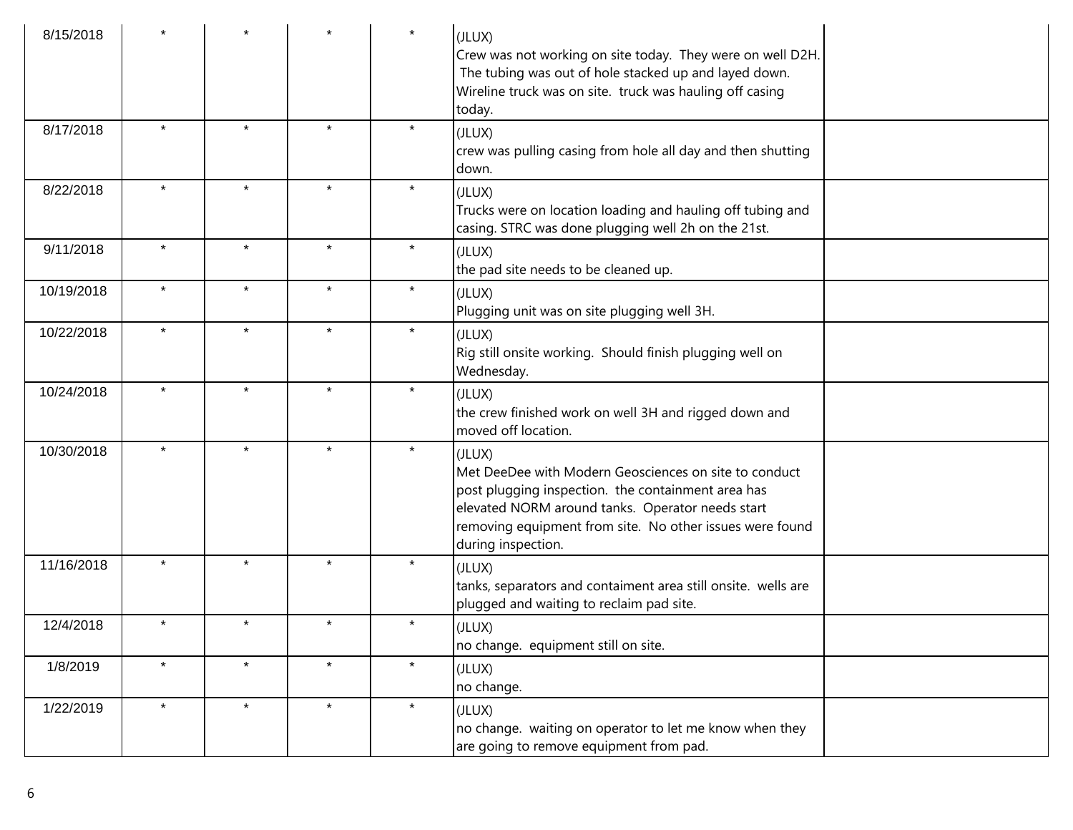| 8/15/2018  |         |         |         | $\star$ | (JLUX)<br>Crew was not working on site today. They were on well D2H.<br>The tubing was out of hole stacked up and layed down.<br>Wireline truck was on site. truck was hauling off casing<br>today.                                                         |
|------------|---------|---------|---------|---------|-------------------------------------------------------------------------------------------------------------------------------------------------------------------------------------------------------------------------------------------------------------|
| 8/17/2018  | $\star$ | $\star$ | $\star$ | $\star$ | (JLUX)<br>crew was pulling casing from hole all day and then shutting<br>down.                                                                                                                                                                              |
| 8/22/2018  | $\star$ | $\star$ | $\star$ | $\star$ | (JLUX)<br>Trucks were on location loading and hauling off tubing and<br>casing. STRC was done plugging well 2h on the 21st.                                                                                                                                 |
| 9/11/2018  | $\star$ | $\star$ | $\star$ | $\star$ | (JLUX)<br>the pad site needs to be cleaned up.                                                                                                                                                                                                              |
| 10/19/2018 | $\star$ | $\star$ | $\star$ | $\star$ | (JLUX)<br>Plugging unit was on site plugging well 3H.                                                                                                                                                                                                       |
| 10/22/2018 | $\star$ | $\star$ | $\star$ | $\star$ | (JLUX)<br>Rig still onsite working. Should finish plugging well on<br>Wednesday.                                                                                                                                                                            |
| 10/24/2018 | $\star$ | $\star$ | $\star$ | $\star$ | (JLUX)<br>the crew finished work on well 3H and rigged down and<br>moved off location.                                                                                                                                                                      |
| 10/30/2018 | $\star$ | $\star$ | $\star$ | $\star$ | (JLUX)<br>Met DeeDee with Modern Geosciences on site to conduct<br>post plugging inspection. the containment area has<br>elevated NORM around tanks. Operator needs start<br>removing equipment from site. No other issues were found<br>during inspection. |
| 11/16/2018 | $\star$ | $\star$ | $\star$ | $\star$ | (JLUX)<br>tanks, separators and contaiment area still onsite. wells are<br>plugged and waiting to reclaim pad site.                                                                                                                                         |
| 12/4/2018  | $\star$ | $\star$ | $\star$ | $\star$ | (JLUX)<br>no change. equipment still on site.                                                                                                                                                                                                               |
| 1/8/2019   | $\star$ | $\star$ | $\star$ | $\star$ | (JLUX)<br>no change.                                                                                                                                                                                                                                        |
| 1/22/2019  |         | $\star$ | $\star$ | $\star$ | (JLUX)<br>no change. waiting on operator to let me know when they<br>are going to remove equipment from pad.                                                                                                                                                |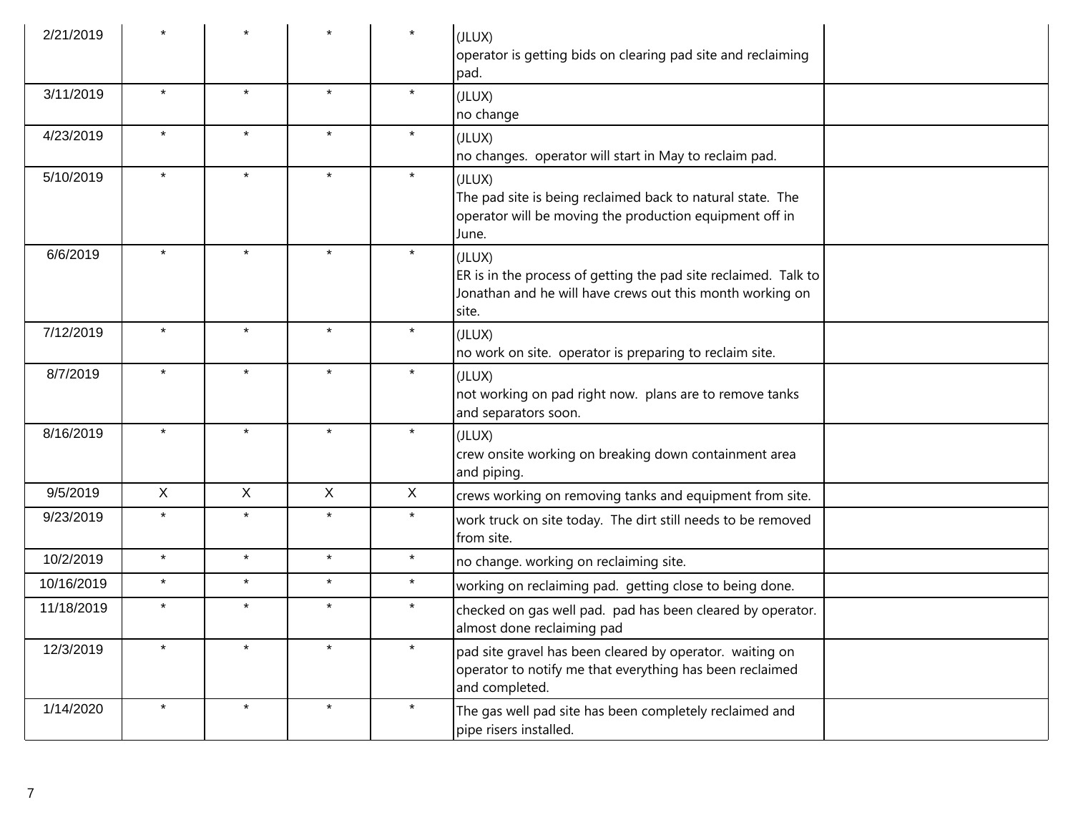| 2/21/2019  |              |              |              |              | (JLUX)<br>operator is getting bids on clearing pad site and reclaiming<br>pad.                                                                  |  |
|------------|--------------|--------------|--------------|--------------|-------------------------------------------------------------------------------------------------------------------------------------------------|--|
| 3/11/2019  | $\star$      | $\star$      | $\star$      | $\star$      | (JLUX)<br>no change                                                                                                                             |  |
| 4/23/2019  | $\star$      | $\star$      | $\star$      | $\star$      | (JLUX)<br>no changes. operator will start in May to reclaim pad.                                                                                |  |
| 5/10/2019  | $\star$      | $\star$      | $\star$      | $\star$      | (JLUX)<br>The pad site is being reclaimed back to natural state. The<br>operator will be moving the production equipment off in<br>June.        |  |
| 6/6/2019   | $\star$      | $\star$      | $\star$      | $\star$      | (JLUX)<br>ER is in the process of getting the pad site reclaimed. Talk to<br>Jonathan and he will have crews out this month working on<br>site. |  |
| 7/12/2019  | $\star$      | $\star$      | $\star$      | $\star$      | (JLUX)<br>no work on site. operator is preparing to reclaim site.                                                                               |  |
| 8/7/2019   | $\star$      | $\star$      | $\star$      | $\star$      | (JLUX)<br>not working on pad right now. plans are to remove tanks<br>and separators soon.                                                       |  |
| 8/16/2019  | $\star$      | $\star$      | $\star$      | $\star$      | (JLUX)<br>crew onsite working on breaking down containment area<br>and piping.                                                                  |  |
| 9/5/2019   | $\mathsf{X}$ | $\mathsf{X}$ | $\mathsf{X}$ | $\mathsf{X}$ | crews working on removing tanks and equipment from site.                                                                                        |  |
| 9/23/2019  | $\star$      | $\star$      | $\star$      | $\star$      | work truck on site today. The dirt still needs to be removed<br>from site.                                                                      |  |
| 10/2/2019  | $\star$      | $\star$      | $\star$      | $\star$      | no change. working on reclaiming site.                                                                                                          |  |
| 10/16/2019 | $\star$      | $\star$      | $\star$      | $\star$      | working on reclaiming pad. getting close to being done.                                                                                         |  |
| 11/18/2019 | $\star$      | $\star$      | $\star$      | $\star$      | checked on gas well pad. pad has been cleared by operator.<br>almost done reclaiming pad                                                        |  |
| 12/3/2019  | $\star$      |              |              | $\star$      | pad site gravel has been cleared by operator. waiting on<br>operator to notify me that everything has been reclaimed<br>and completed.          |  |
| 1/14/2020  |              | $\star$      | $\star$      | $\star$      | The gas well pad site has been completely reclaimed and<br>pipe risers installed.                                                               |  |